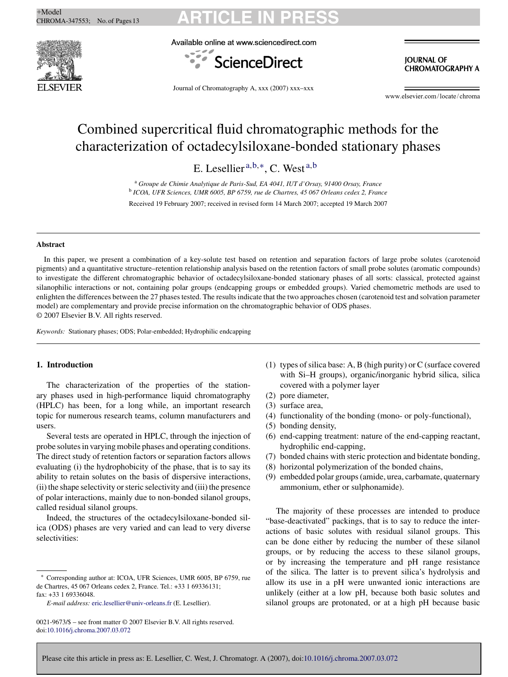

Available online at www.sciencedirect.com



**IOURNAL OF CHROMATOGRAPHY A** 

Journal of Chromatography A, xxx (2007) xxx–xxx

www.elsevier.com/locate/chroma

### Combined supercritical fluid chromatographic methods for the characterization of octadecylsiloxane-bonded stationary phases

E. Lesellier <sup>a</sup>,b,∗, C. West <sup>a</sup>,<sup>b</sup>

<sup>a</sup> *Groupe de Chimie Analytique de Paris-Sud, EA 4041, IUT d'Orsay, 91400 Orsay, France* <sup>b</sup> *ICOA, UFR Sciences, UMR 6005, BP 6759, rue de Chartres, 45 067 Orleans cedex 2, France*

Received 19 February 2007; received in revised form 14 March 2007; accepted 19 March 2007

### **Abstract**

In this paper, we present a combination of a key-solute test based on retention and separation factors of large probe solutes (carotenoid pigments) and a quantitative structure–retention relationship analysis based on the retention factors of small probe solutes (aromatic compounds) to investigate the different chromatographic behavior of octadecylsiloxane-bonded stationary phases of all sorts: classical, protected against silanophilic interactions or not, containing polar groups (endcapping groups or embedded groups). Varied chemometric methods are used to enlighten the differences between the 27 phases tested. The results indicate that the two approaches chosen (carotenoid test and solvation parameter model) are complementary and provide precise information on the chromatographic behavior of ODS phases. © 2007 Elsevier B.V. All rights reserved.

*Keywords:* Stationary phases; ODS; Polar-embedded; Hydrophilic endcapping

### **1. Introduction**

The characterization of the properties of the stationary phases used in high-performance liquid chromatography (HPLC) has been, for a long while, an important research topic for numerous research teams, column manufacturers and users.

Several tests are operated in HPLC, through the injection of probe solutes in varying mobile phases and operating conditions. The direct study of retention factors or separation factors allows evaluating (i) the hydrophobicity of the phase, that is to say its ability to retain solutes on the basis of dispersive interactions, (ii) the shape selectivity or steric selectivity and (iii) the presence of polar interactions, mainly due to non-bonded silanol groups, called residual silanol groups.

Indeed, the structures of the octadecylsiloxane-bonded silica (ODS) phases are very varied and can lead to very diverse selectivities:

0021-9673/\$ – see front matter © 2007 Elsevier B.V. All rights reserved. doi[:10.1016/j.chroma.2007.03.072](dx.doi.org/10.1016/j.chroma.2007.03.072)

- (1) types of silica base: A, B (high purity) or C (surface covered with Si–H groups), organic/inorganic hybrid silica, silica covered with a polymer layer
- (2) pore diameter,
- (3) surface area,
- (4) functionality of the bonding (mono- or poly-functional),
- (5) bonding density,
- (6) end-capping treatment: nature of the end-capping reactant, hydrophilic end-capping,
- (7) bonded chains with steric protection and bidentate bonding,
- (8) horizontal polymerization of the bonded chains,
- (9) embedded polar groups (amide, urea, carbamate, quaternary ammonium, ether or sulphonamide).

The majority of these processes are intended to produce "base-deactivated" packings, that is to say to reduce the interactions of basic solutes with residual silanol groups. This can be done either by reducing the number of these silanol groups, or by reducing the access to these silanol groups, or by increasing the temperature and pH range resistance of the silica. The latter is to prevent silica's hydrolysis and allow its use in a pH were unwanted ionic interactions are unlikely (either at a low pH, because both basic solutes and silanol groups are protonated, or at a high pH because basic

Please cite this article in press as: E. Lesellier, C. West, J. Chromatogr. A (2007), doi[:10.1016/j.chroma.2007.03.072](dx.doi.org/10.1016/j.chroma.2007.03.072)

<sup>∗</sup> Corresponding author at: ICOA, UFR Sciences, UMR 6005, BP 6759, rue de Chartres, 45 067 Orleans cedex 2, France. Tel.: +33 1 69336131; fax: +33 1 69336048.

*E-mail address:* [eric.lesellier@univ-orleans.fr](mailto:eric.lesellier@univ-orleans.fr) (E. Lesellier).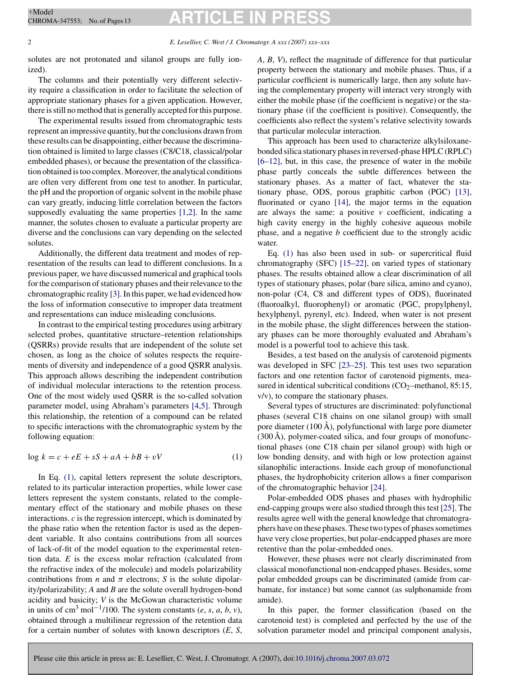solutes are not protonated and silanol groups are fully ionized).

The columns and their potentially very different selectivity require a classification in order to facilitate the selection of appropriate stationary phases for a given application. However, there is still no method that is generally accepted for this purpose.

The experimental results issued from chromatographic tests represent an impressive quantity, but the conclusions drawn from these results can be disappointing, either because the discrimination obtained is limited to large classes (C8/C18, classical/polar embedded phases), or because the presentation of the classification obtained is too complex. Moreover, the analytical conditions are often very different from one test to another. In particular, the pH and the proportion of organic solvent in the mobile phase can vary greatly, inducing little correlation between the factors supposedly evaluating the same properties [\[1,2\].](#page-11-0) In the same manner, the solutes chosen to evaluate a particular property are diverse and the conclusions can vary depending on the selected solutes.

Additionally, the different data treatment and modes of representation of the results can lead to different conclusions. In a previous paper, we have discussed numerical and graphical tools for the comparison of stationary phases and their relevance to the chromatographic reality [\[3\]. I](#page-11-0)n this paper, we had evidenced how the loss of information consecutive to improper data treatment and representations can induce misleading conclusions.

In contrast to the empirical testing procedures using arbitrary selected probes, quantitative structure–retention relationships (QSRRs) provide results that are independent of the solute set chosen, as long as the choice of solutes respects the requirements of diversity and independence of a good QSRR analysis. This approach allows describing the independent contribution of individual molecular interactions to the retention process. One of the most widely used QSRR is the so-called solvation parameter model, using Abraham's parameters [\[4,5\].](#page-11-0) Through this relationship, the retention of a compound can be related to specific interactions with the chromatographic system by the following equation:

$$
\log k = c + eE + sS + aA + bB + vV \tag{1}
$$

In Eq. (1), capital letters represent the solute descriptors, related to its particular interaction properties, while lower case letters represent the system constants, related to the complementary effect of the stationary and mobile phases on these interactions. *c* is the regression intercept, which is dominated by the phase ratio when the retention factor is used as the dependent variable. It also contains contributions from all sources of lack-of-fit of the model equation to the experimental retention data. *E* is the excess molar refraction (calculated from the refractive index of the molecule) and models polarizability contributions from *n* and  $\pi$  electrons; *S* is the solute dipolarity/polarizability; *A* and *B* are the solute overall hydrogen-bond acidity and basicity; *V* is the McGowan characteristic volume in units of cm<sup>3</sup> mol<sup>−1</sup>/100. The system constants (*e*, *s*, *a*, *b*, *v*), obtained through a multilinear regression of the retention data for a certain number of solutes with known descriptors (*E*, *S*,

*A*, *B*, *V*), reflect the magnitude of difference for that particular property between the stationary and mobile phases. Thus, if a particular coefficient is numerically large, then any solute having the complementary property will interact very strongly with either the mobile phase (if the coefficient is negative) or the stationary phase (if the coefficient is positive). Consequently, the coefficients also reflect the system's relative selectivity towards that particular molecular interaction.

This approach has been used to characterize alkylsiloxanebonded silica stationary phases in reversed-phase HPLC (RPLC) [\[6–12\],](#page-11-0) but, in this case, the presence of water in the mobile phase partly conceals the subtle differences between the stationary phases. As a matter of fact, whatever the stationary phase, ODS, porous graphitic carbon (PGC) [\[13\],](#page-12-0) fluorinated or cyano [\[14\],](#page-12-0) the major terms in the equation are always the same: a positive  $\nu$  coefficient, indicating a high cavity energy in the highly cohesive aqueous mobile phase, and a negative *b* coefficient due to the strongly acidic water.

Eq. (1) has also been used in sub- or supercritical fluid chromatography (SFC) [\[15–22\],](#page-12-0) on varied types of stationary phases. The results obtained allow a clear discrimination of all types of stationary phases, polar (bare silica, amino and cyano), non-polar (C4, C8 and different types of ODS), fluorinated (fluoroalkyl, fluorophenyl) or aromatic (PGC, propylphenyl, hexylphenyl, pyrenyl, etc). Indeed, when water is not present in the mobile phase, the slight differences between the stationary phases can be more thoroughly evaluated and Abraham's model is a powerful tool to achieve this task.

Besides, a test based on the analysis of carotenoid pigments was developed in SFC [\[23–25\].](#page-12-0) This test uses two separation factors and one retention factor of carotenoid pigments, measured in identical subcritical conditions  $(CO<sub>2</sub>–method, 85:15, 15)$ v/v), to compare the stationary phases.

Several types of structures are discriminated: polyfunctional phases (several C18 chains on one silanol group) with small pore diameter (100 Å), polyfunctional with large pore diameter  $(300 \text{ Å})$ , polymer-coated silica, and four groups of monofunctional phases (one C18 chain per silanol group) with high or low bonding density, and with high or low protection against silanophilic interactions. Inside each group of monofunctional phases, the hydrophobicity criterion allows a finer comparison of the chromatographic behavior [\[24\].](#page-12-0)

Polar-embedded ODS phases and phases with hydrophilic end-capping groups were also studied through this test [\[25\]. T](#page-12-0)he results agree well with the general knowledge that chromatographers have on these phases. These two types of phases sometimes have very close properties, but polar-endcapped phases are more retentive than the polar-embedded ones.

However, these phases were not clearly discriminated from classical monofunctional non-endcapped phases. Besides, some polar embedded groups can be discriminated (amide from carbamate, for instance) but some cannot (as sulphonamide from amide).

In this paper, the former classification (based on the carotenoid test) is completed and perfected by the use of the solvation parameter model and principal component analysis,

<span id="page-1-0"></span>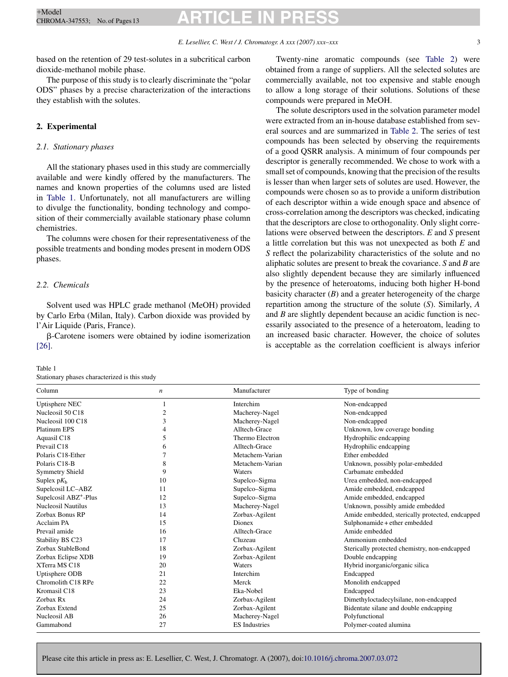<span id="page-2-0"></span>based on the retention of 29 test-solutes in a subcritical carbon dioxide-methanol mobile phase.

The purpose of this study is to clearly discriminate the "polar ODS" phases by a precise characterization of the interactions they establish with the solutes.

### **2. Experimental**

#### *2.1. Stationary phases*

All the stationary phases used in this study are commercially available and were kindly offered by the manufacturers. The names and known properties of the columns used are listed in Table 1. Unfortunately, not all manufacturers are willing to divulge the functionality, bonding technology and composition of their commercially available stationary phase column chemistries.

The columns were chosen for their representativeness of the possible treatments and bonding modes present in modern ODS phases.

### *2.2. Chemicals*

Solvent used was HPLC grade methanol (MeOH) provided by Carlo Erba (Milan, Italy). Carbon dioxide was provided by l'Air Liquide (Paris, France).

--Carotene isomers were obtained by iodine isomerization [\[26\].](#page-12-0)

| Table |  |  |
|-------|--|--|
|       |  |  |

|  |  | Stationary phases characterized is this study |  |  |  |
|--|--|-----------------------------------------------|--|--|--|
|--|--|-----------------------------------------------|--|--|--|

Twenty-nine aromatic compounds (see [Table 2\)](#page-3-0) were obtained from a range of suppliers. All the selected solutes are commercially available, not too expensive and stable enough to allow a long storage of their solutions. Solutions of these compounds were prepared in MeOH.

The solute descriptors used in the solvation parameter model were extracted from an in-house database established from several sources and are summarized in [Table 2.](#page-3-0) The series of test compounds has been selected by observing the requirements of a good QSRR analysis. A minimum of four compounds per descriptor is generally recommended. We chose to work with a small set of compounds, knowing that the precision of the results is lesser than when larger sets of solutes are used. However, the compounds were chosen so as to provide a uniform distribution of each descriptor within a wide enough space and absence of cross-correlation among the descriptors was checked, indicating that the descriptors are close to orthogonality. Only slight correlations were observed between the descriptors. *E* and *S* present a little correlation but this was not unexpected as both *E* and *S* reflect the polarizability characteristics of the solute and no aliphatic solutes are present to break the covariance. *S* and *B* are also slightly dependent because they are similarly influenced by the presence of heteroatoms, inducing both higher H-bond basicity character  $(B)$  and a greater heterogeneity of the charge repartition among the structure of the solute (*S*). Similarly, *A* and *B* are slightly dependent because an acidic function is necessarily associated to the presence of a heteroatom, leading to an increased basic character. However, the choice of solutes is acceptable as the correlation coefficient is always inferior

| Column                            | $\boldsymbol{n}$ | Manufacturer         | Type of bonding                                 |
|-----------------------------------|------------------|----------------------|-------------------------------------------------|
| Uptisphere NEC                    |                  | Interchim            | Non-endcapped                                   |
| Nucleosil 50 C18                  | 2                | Macherey-Nagel       | Non-endcapped                                   |
| Nucleosil 100 C18                 | 3                | Macherey-Nagel       | Non-endcapped                                   |
| <b>Platinum EPS</b>               |                  | Alltech-Grace        | Unknown, low coverage bonding                   |
| Aquasil C18                       |                  | Thermo Electron      | Hydrophilic endcapping                          |
| Prevail C18                       | 6                | Alltech-Grace        | Hydrophilic endcapping                          |
| Polaris C18-Ether                 |                  | Metachem-Varian      | Ether embedded                                  |
| Polaris C18-B                     | 8                | Metachem-Varian      | Unknown, possibly polar-embedded                |
| <b>Symmetry Shield</b>            | 9                | Waters               | Carbamate embedded                              |
| Suplex $pK_b$                     | 10               | Supelco-Sigma        | Urea embedded, non-endcapped                    |
| Supelcosil LC-ABZ                 | 11               | Supelco-Sigma        | Amide embedded, endcapped                       |
| Supelcosil ABZ <sup>+</sup> -Plus | 12               | Supelco-Sigma        | Amide embedded, endcapped                       |
| <b>Nucleosil Nautilus</b>         | 13               | Macherey-Nagel       | Unknown, possibly amide embedded                |
| Zorbax Bonus RP                   | 14               | Zorbax-Agilent       | Amide embedded, sterically protected, endcapped |
| Acclaim PA                        | 15               | Dionex               | Sulphonamide + ether embedded                   |
| Prevail amide                     | 16               | Alltech-Grace        | Amide embedded                                  |
| Stability BS C23                  | 17               | Cluzeau              | Ammonium embedded                               |
| Zorbax StableBond                 | 18               | Zorbax-Agilent       | Sterically protected chemistry, non-endcapped   |
| Zorbax Eclipse XDB                | 19               | Zorbax-Agilent       | Double endcapping                               |
| XTerra MS C18                     | 20               | Waters               | Hybrid inorganic/organic silica                 |
| Uptisphere ODB                    | 21               | Interchim            | Endcapped                                       |
| Chromolith C18 RPe                | 22               | Merck                | Monolith endcapped                              |
| Kromasil C18                      | 23               | Eka-Nobel            | Endcapped                                       |
| Zorbax Rx                         | 24               | Zorbax-Agilent       | Dimethyloctadecylsilane, non-endcapped          |
| Zorbax Extend                     | 25               | Zorbax-Agilent       | Bidentate silane and double endcapping          |
| Nucleosil AB                      | 26               | Macherey-Nagel       | Polyfunctional                                  |
| Gammabond                         | 27               | <b>ES</b> Industries | Polymer-coated alumina                          |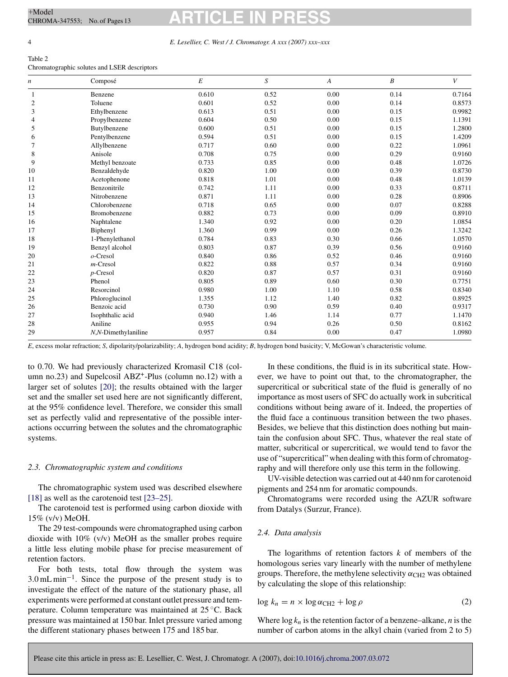#### <span id="page-3-0"></span>4 *E. Lesellier, C. West / J. Chromatogr. A xxx (2007) xxx–xxx*

Table 2 Chromatographic solutes and LSER descriptors

| n              | Composé                    | E     | $\boldsymbol{S}$ | A    | $\boldsymbol{B}$ | V      |
|----------------|----------------------------|-------|------------------|------|------------------|--------|
| $\mathbf{1}$   | Benzene                    | 0.610 | 0.52             | 0.00 | 0.14             | 0.7164 |
| $\mathfrak{2}$ | Toluene                    | 0.601 | 0.52             | 0.00 | 0.14             | 0.8573 |
| 3              | Ethylbenzene               | 0.613 | 0.51             | 0.00 | 0.15             | 0.9982 |
| 4              | Propylbenzene              | 0.604 | 0.50             | 0.00 | 0.15             | 1.1391 |
| 5              | Butylbenzene               | 0.600 | 0.51             | 0.00 | 0.15             | 1.2800 |
| 6              | Pentylbenzene              | 0.594 | 0.51             | 0.00 | 0.15             | 1.4209 |
| $\overline{7}$ | Allylbenzene               | 0.717 | 0.60             | 0.00 | 0.22             | 1.0961 |
| 8              | Anisole                    | 0.708 | 0.75             | 0.00 | 0.29             | 0.9160 |
| 9              | Methyl benzoate            | 0.733 | 0.85             | 0.00 | 0.48             | 1.0726 |
| 10             | Benzaldehyde               | 0.820 | 1.00             | 0.00 | 0.39             | 0.8730 |
| 11             | Acetophenone               | 0.818 | 1.01             | 0.00 | 0.48             | 1.0139 |
| 12             | Benzonitrile               | 0.742 | 1.11             | 0.00 | 0.33             | 0.8711 |
| 13             | Nitrobenzene               | 0.871 | 1.11             | 0.00 | 0.28             | 0.8906 |
| 14             | Chlorobenzene              | 0.718 | 0.65             | 0.00 | 0.07             | 0.8288 |
| 15             | Bromobenzene               | 0.882 | 0.73             | 0.00 | 0.09             | 0.8910 |
| 16             | Naphtalene                 | 1.340 | 0.92             | 0.00 | 0.20             | 1.0854 |
| 17             | Biphenyl                   | 1.360 | 0.99             | 0.00 | 0.26             | 1.3242 |
| 18             | 1-Phenylethanol            | 0.784 | 0.83             | 0.30 | 0.66             | 1.0570 |
| 19             | Benzyl alcohol             | 0.803 | 0.87             | 0.39 | 0.56             | 0.9160 |
| 20             | $o$ -Cresol                | 0.840 | 0.86             | 0.52 | 0.46             | 0.9160 |
| 21             | $m$ -Cresol                | 0.822 | 0.88             | 0.57 | 0.34             | 0.9160 |
| 22             | $p$ -Cresol                | 0.820 | 0.87             | 0.57 | 0.31             | 0.9160 |
| 23             | Phenol                     | 0.805 | 0.89             | 0.60 | 0.30             | 0.7751 |
| 24             | Resorcinol                 | 0.980 | 1.00             | 1.10 | 0.58             | 0.8340 |
| 25             | Phloroglucinol             | 1.355 | 1.12             | 1.40 | 0.82             | 0.8925 |
| 26             | Benzoic acid               | 0.730 | 0.90             | 0.59 | 0.40             | 0.9317 |
| 27             | Isophthalic acid           | 0.940 | 1.46             | 1.14 | 0.77             | 1.1470 |
| 28             | Aniline                    | 0.955 | 0.94             | 0.26 | 0.50             | 0.8162 |
| 29             | $N$ , $N$ -Dimethylaniline | 0.957 | 0.84             | 0.00 | 0.47             | 1.0980 |

*E*, excess molar refraction; *S*, dipolarity/polarizability; *A*, hydrogen bond acidity; *B*, hydrogen bond basicity; V, McGowan's characteristic volume.

to 0.70. We had previously characterized Kromasil C18 (column no.23) and Supelcosil  $ABZ^+$ -Plus (column no.12) with a larger set of solutes [\[20\];](#page-12-0) the results obtained with the larger set and the smaller set used here are not significantly different, at the 95% confidence level. Therefore, we consider this small set as perfectly valid and representative of the possible interactions occurring between the solutes and the chromatographic systems.

### *2.3. Chromatographic system and conditions*

The chromatographic system used was described elsewhere [\[18\]](#page-12-0) as well as the carotenoid test [\[23–25\].](#page-12-0)

The carotenoid test is performed using carbon dioxide with 15% (v/v) MeOH.

The 29 test-compounds were chromatographed using carbon dioxide with 10% (v/v) MeOH as the smaller probes require a little less eluting mobile phase for precise measurement of retention factors.

For both tests, total flow through the system was  $3.0 \text{ mL min}^{-1}$ . Since the purpose of the present study is to investigate the effect of the nature of the stationary phase, all experiments were performed at constant outlet pressure and temperature. Column temperature was maintained at 25 ◦C. Back pressure was maintained at 150 bar. Inlet pressure varied among the different stationary phases between 175 and 185 bar.

In these conditions, the fluid is in its subcritical state. However, we have to point out that, to the chromatographer, the supercritical or subcritical state of the fluid is generally of no importance as most users of SFC do actually work in subcritical conditions without being aware of it. Indeed, the properties of the fluid face a continuous transition between the two phases. Besides, we believe that this distinction does nothing but maintain the confusion about SFC. Thus, whatever the real state of matter, subcritical or supercritical, we would tend to favor the use of "supercritical" when dealing with this form of chromatography and will therefore only use this term in the following.

UV-visible detection was carried out at 440 nm for carotenoid pigments and 254 nm for aromatic compounds.

Chromatograms were recorded using the AZUR software from Datalys (Surzur, France).

#### *2.4. Data analysis*

The logarithms of retention factors *k* of members of the homologous series vary linearly with the number of methylene groups. Therefore, the methylene selectivity  $\alpha_{CH2}$  was obtained by calculating the slope of this relationship:

$$
\log k_n = n \times \log \alpha_{\text{CH2}} + \log \rho \tag{2}
$$

Where  $\log k_n$  is the retention factor of a benzene–alkane, *n* is the number of carbon atoms in the alkyl chain (varied from 2 to 5)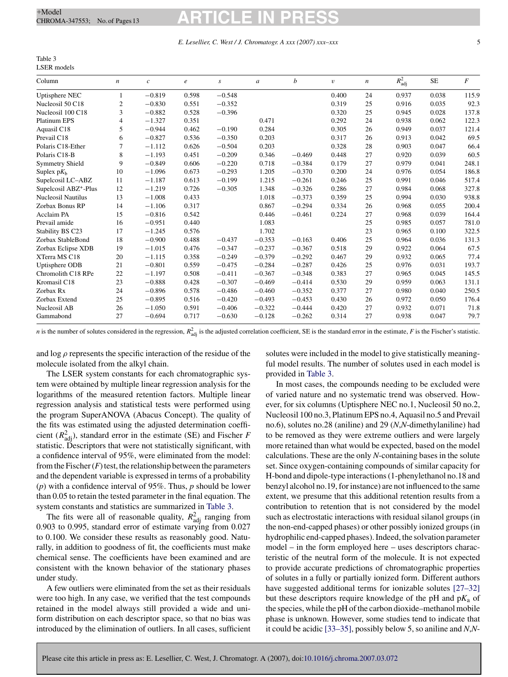#### *E. Lesellier, C. West / J. Chromatogr. A xxx (2007) xxx–xxx* 5

<span id="page-4-0"></span>

| Table 3     |
|-------------|
| LSER models |

| Column                            | $\boldsymbol{n}$ | $\boldsymbol{c}$ | $\epsilon$ | $\boldsymbol{S}$ | $\boldsymbol{a}$ | b        | $\upsilon$ | $\boldsymbol{n}$ | $R_{\text{adj}}^2$ | <b>SE</b> | F     |
|-----------------------------------|------------------|------------------|------------|------------------|------------------|----------|------------|------------------|--------------------|-----------|-------|
| <b>Uptisphere NEC</b>             | 1                | $-0.819$         | 0.598      | $-0.548$         |                  |          | 0.400      | 24               | 0.937              | 0.038     | 115.9 |
| Nucleosil 50 C18                  | $\mathfrak{2}$   | $-0.830$         | 0.551      | $-0.352$         |                  |          | 0.319      | 25               | 0.916              | 0.035     | 92.3  |
| Nucleosil 100 C18                 | 3                | $-0.882$         | 0.528      | $-0.396$         |                  |          | 0.320      | 25               | 0.945              | 0.028     | 137.8 |
| Platinum EPS                      | 4                | $-1.327$         | 0.351      |                  | 0.471            |          | 0.292      | 24               | 0.938              | 0.062     | 122.3 |
| Aquasil C18                       | 5                | $-0.944$         | 0.462      | $-0.190$         | 0.284            |          | 0.305      | 26               | 0.949              | 0.037     | 121.4 |
| Prevail C18                       | 6                | $-0.827$         | 0.536      | $-0.350$         | 0.203            |          | 0.317      | 26               | 0.913              | 0.042     | 69.5  |
| Polaris C18-Ether                 | 7                | $-1.112$         | 0.626      | $-0.504$         | 0.203            |          | 0.328      | 28               | 0.903              | 0.047     | 66.4  |
| Polaris C18-B                     | 8                | $-1.193$         | 0.451      | $-0.209$         | 0.346            | $-0.469$ | 0.448      | 27               | 0.920              | 0.039     | 60.5  |
| <b>Symmetry Shield</b>            | 9                | $-0.849$         | 0.606      | $-0.220$         | 0.718            | $-0.384$ | 0.179      | 27               | 0.979              | 0.041     | 248.1 |
| Suplex $pK_b$                     | 10               | $-1.096$         | 0.673      | $-0.293$         | 1.205            | $-0.370$ | 0.200      | 24               | 0.976              | 0.054     | 186.8 |
| Supelcosil LC-ABZ                 | 11               | $-1.187$         | 0.613      | $-0.199$         | 1.215            | $-0.261$ | 0.246      | 25               | 0.991              | 0.046     | 517.4 |
| Supelcosil ABZ <sup>+</sup> -Plus | 12               | $-1.219$         | 0.726      | $-0.305$         | 1.348            | $-0.326$ | 0.286      | 27               | 0.984              | 0.068     | 327.8 |
| <b>Nucleosil Nautilus</b>         | 13               | $-1.008$         | 0.433      |                  | 1.018            | $-0.373$ | 0.359      | 25               | 0.994              | 0.030     | 938.8 |
| Zorbax Bonus RP                   | 14               | $-1.106$         | 0.317      |                  | 0.867            | $-0.294$ | 0.334      | 26               | 0.968              | 0.055     | 200.4 |
| Acclaim PA                        | 15               | $-0.816$         | 0.542      |                  | 0.446            | $-0.461$ | 0.224      | 27               | 0.968              | 0.039     | 164.4 |
| Prevail amide                     | 16               | $-0.951$         | 0.440      |                  | 1.083            |          |            | 25               | 0.985              | 0.057     | 781.0 |
| Stability BS C23                  | 17               | $-1.245$         | 0.576      |                  | 1.702            |          |            | 23               | 0.965              | 0.100     | 322.5 |
| Zorbax StableBond                 | 18               | $-0.900$         | 0.488      | $-0.437$         | $-0.353$         | $-0.163$ | 0.406      | 25               | 0.964              | 0.036     | 131.3 |
| Zorbax Eclipse XDB                | 19               | $-1.015$         | 0.476      | $-0.347$         | $-0.237$         | $-0.367$ | 0.518      | 29               | 0.922              | 0.064     | 67.5  |
| XTerra MS C18                     | 20               | $-1.115$         | 0.358      | $-0.249$         | $-0.379$         | $-0.292$ | 0.467      | 29               | 0.932              | 0.065     | 77.4  |
| Uptisphere ODB                    | 21               | $-0.801$         | 0.559      | $-0.475$         | $-0.284$         | $-0.287$ | 0.426      | 25               | 0.976              | 0.031     | 193.7 |
| Chromolith C18 RPe                | 22               | $-1.197$         | 0.508      | $-0.411$         | $-0.367$         | $-0.348$ | 0.383      | 27               | 0.965              | 0.045     | 145.5 |
| Kromasil C18                      | 23               | $-0.888$         | 0.428      | $-0.307$         | $-0.469$         | $-0.414$ | 0.530      | 29               | 0.959              | 0.063     | 131.1 |
| Zorbax Rx                         | 24               | $-0.896$         | 0.578      | $-0.486$         | $-0.460$         | $-0.352$ | 0.377      | 27               | 0.980              | 0.040     | 250.5 |
| Zorbax Extend                     | 25               | $-0.895$         | 0.516      | $-0.420$         | $-0.493$         | $-0.453$ | 0.430      | 26               | 0.972              | 0.050     | 176.4 |
| Nucleosil AB                      | 26               | $-1.050$         | 0.591      | $-0.406$         | $-0.322$         | $-0.444$ | 0.420      | 27               | 0.932              | 0.071     | 71.8  |
| Gammabond                         | 27               | $-0.694$         | 0.717      | $-0.630$         | $-0.128$         | $-0.262$ | 0.314      | 27               | 0.938              | 0.047     | 79.7  |

*n* is the number of solutes considered in the regression,  $R_{\text{adj}}^2$  is the adjusted correlation coefficient, SE is the standard error in the estimate, *F* is the Fischer's statistic.

and  $\log \rho$  represents the specific interaction of the residue of the molecule isolated from the alkyl chain.

The LSER system constants for each chromatographic system were obtained by multiple linear regression analysis for the logarithms of the measured retention factors. Multiple linear regression analysis and statistical tests were performed using the program SuperANOVA (Abacus Concept). The quality of the fits was estimated using the adjusted determination coefficient  $(R<sup>2</sup><sub>adj</sub>)$ , standard error in the estimate (SE) and Fischer *F* statistic. Descriptors that were not statistically significant, with a confidence interval of 95%, were eliminated from the model: from the Fischer  $(F)$  test, the relationship between the parameters and the dependent variable is expressed in terms of a probability (*p*) with a confidence interval of 95%. Thus, *p* should be lower than 0.05 to retain the tested parameter in the final equation. The system constants and statistics are summarized in Table 3.

The fits were all of reasonable quality,  $R_{\text{adj}}^2$  ranging from 0.903 to 0.995, standard error of estimate varying from 0.027 to 0.100. We consider these results as reasonably good. Naturally, in addition to goodness of fit, the coefficients must make chemical sense. The coefficients have been examined and are consistent with the known behavior of the stationary phases under study.

A few outliers were eliminated from the set as their residuals were too high. In any case, we verified that the test compounds retained in the model always still provided a wide and uniform distribution on each descriptor space, so that no bias was introduced by the elimination of outliers. In all cases, sufficient

solutes were included in the model to give statistically meaningful model results. The number of solutes used in each model is provided in Table 3.

In most cases, the compounds needing to be excluded were of varied nature and no systematic trend was observed. However, for six columns (Uptisphere NEC no.1, Nucleosil 50 no.2, Nucleosil 100 no.3, Platinum EPS no.4, Aquasil no.5 and Prevail no.6), solutes no.28 (aniline) and 29 (*N*,*N*-dimethylaniline) had to be removed as they were extreme outliers and were largely more retained than what would be expected, based on the model calculations. These are the only *N*-containing bases in the solute set. Since oxygen-containing compounds of similar capacity for H-bond and dipole-type interactions (1-phenylethanol no.18 and benzyl alcohol no.19, for instance) are not influenced to the same extent, we presume that this additional retention results from a contribution to retention that is not considered by the model such as electrostatic interactions with residual silanol groups (in the non-end-capped phases) or other possibly ionized groups (in hydrophilic end-capped phases). Indeed, the solvation parameter model – in the form employed here – uses descriptors characteristic of the neutral form of the molecule. It is not expected to provide accurate predictions of chromatographic properties of solutes in a fully or partially ionized form. Different authors have suggested additional terms for ionizable solutes [\[27–32\]](#page-12-0) but these descriptors require knowledge of the pH and  $pK_a$  of the species, while the pH of the carbon dioxide–methanol mobile phase is unknown. However, some studies tend to indicate that it could be acidic [\[33–35\], p](#page-12-0)ossibly below 5, so aniline and *N*,*N*-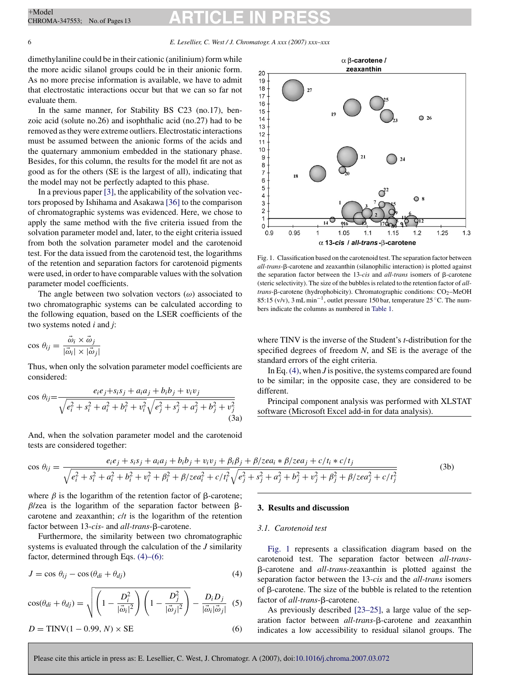#### <span id="page-5-0"></span>6 *E. Lesellier, C. West / J. Chromatogr. A xxx (2007) xxx–xxx*

dimethylaniline could be in their cationic (anilinium) form while the more acidic silanol groups could be in their anionic form. As no more precise information is available, we have to admit that electrostatic interactions occur but that we can so far not evaluate them.

In the same manner, for Stability BS C23 (no.17), benzoic acid (solute no.26) and isophthalic acid (no.27) had to be removed as they were extreme outliers. Electrostatic interactions must be assumed between the anionic forms of the acids and the quaternary ammonium embedded in the stationary phase. Besides, for this column, the results for the model fit are not as good as for the others (SE is the largest of all), indicating that the model may not be perfectly adapted to this phase.

In a previous paper [\[3\], t](#page-11-0)he applicability of the solvation vectors proposed by Ishihama and Asakawa [\[36\]](#page-12-0) to the comparison of chromatographic systems was evidenced. Here, we chose to apply the same method with the five criteria issued from the solvation parameter model and, later, to the eight criteria issued from both the solvation parameter model and the carotenoid test. For the data issued from the carotenoid test, the logarithms of the retention and separation factors for carotenoid pigments were used, in order to have comparable values with the solvation parameter model coefficients.

The angle between two solvation vectors  $(\omega)$  associated to two chromatographic systems can be calculated according to the following equation, based on the LSER coefficients of the two systems noted *i* and *j*:

$$
\cos \theta_{ij} = \frac{\vec{\omega}_i \times \vec{\omega}_j}{|\vec{\omega}_i| \times |\vec{\omega}_j|}
$$

Thus, when only the solvation parameter model coefficients are considered:

$$
\cos \theta_{ij} = \frac{e_i e_j + s_i s_j + a_i a_j + b_i b_j + v_i v_j}{\sqrt{e_i^2 + s_i^2 + a_i^2 + b_i^2 + v_i^2} \sqrt{e_j^2 + s_j^2 + a_j^2 + b_j^2 + v_j^2}}
$$
\n(3a)

And, when the solvation parameter model and the carotenoid tests are considered together:



Fig. 1. Classification based on the carotenoid test. The separation factor between all-trans- $\beta$ -carotene and zeaxanthin (silanophilic interaction) is plotted against the separation factor between the  $13\text{-}cis$  and *all-trans* isomers of  $\beta$ -carotene (steric selectivity). The size of the bubbles is related to the retention factor of *all*trans-β-carotene (hydrophobicity). Chromatographic conditions: CO<sub>2</sub>-MeOH 85:15 (v/v),  $3 \text{ mL min}^{-1}$ , outlet pressure 150 bar, temperature 25 °C. The numbers indicate the columns as numbered in [Table 1.](#page-2-0)

where TINV is the inverse of the Student's *t*-distribution for the specified degrees of freedom *N*, and SE is the average of the standard errors of the eight criteria.

In Eq. (4), when *J* is positive, the systems compared are found to be similar; in the opposite case, they are considered to be different.

Principal component analysis was performed with XLSTAT software (Microsoft Excel add-in for data analysis).

$$
\cos \theta_{ij} = \frac{e_i e_j + s_i s_j + a_i a_j + b_i b_j + v_i v_j + \beta_i \beta_j + \beta / z e a_i * \beta / z e a_j + c / t_i * c / t_j}{\sqrt{e_i^2 + s_i^2 + a_i^2 + b_i^2 + v_i^2 + \beta_i^2 + \beta / z e a_i^2 + c / t_i^2} \sqrt{e_j^2 + s_j^2 + a_j^2 + b_j^2 + v_j^2 + \beta / z e a_i^2 + c / t_i^2}}
$$
(3b)

where  $\beta$  is the logarithm of the retention factor of  $\beta$ -carotene;  $β$ /zea is the logarithm of the separation factor between  $β$ carotene and zeaxanthin; *c*/*t* is the logarithm of the retention factor between 13-*cis*- and *all-trans*-β-carotene.

Furthermore, the similarity between two chromatographic systems is evaluated through the calculation of the *J* similarity factor, determined through Eqs. (4)–(6):

$$
J = \cos \theta_{ij} - \cos (\theta_{di} + \theta_{dj})
$$
\n(4)

$$
\cos(\theta_{di} + \theta_{dj}) = \sqrt{\left(1 - \frac{D_i^2}{|\vec{\omega}_i|^2}\right)\left(1 - \frac{D_j^2}{|\vec{\omega}_j|^2}\right)} - \frac{D_i D_j}{|\vec{\omega}_i|\vec{\omega}_j|} \quad (5)
$$

$$
D = \text{TINV}(1 - 0.99, N) \times \text{SE}
$$
 (6)

### **3. Results and discussion**

### *3.1. Carotenoid test*

Fig. 1 represents a classification diagram based on the carotenoid test. The separation factor between *all-trans*- --carotene and *all-trans*-zeaxanthin is plotted against the separation factor between the 13-*cis* and the *all-trans* isomers of  $\beta$ -carotene. The size of the bubble is related to the retention factor of *all-trans*- $\beta$ -carotene.

As previously described [\[23–25\],](#page-12-0) a large value of the separation factor between all-trans- $\beta$ -carotene and zeaxanthin indicates a low accessibility to residual silanol groups. The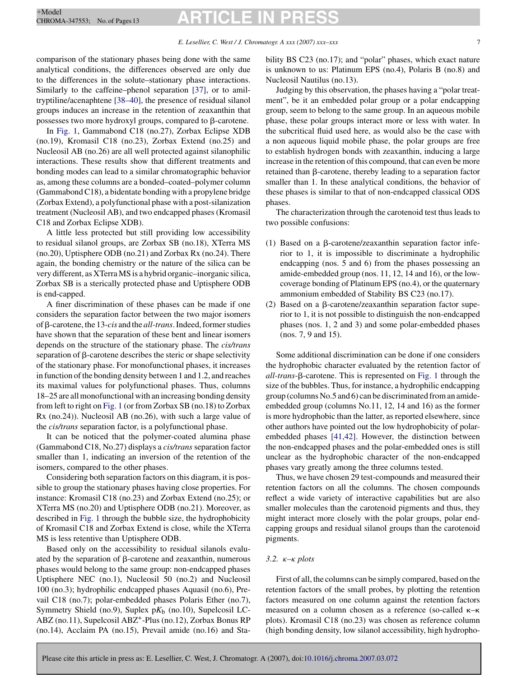comparison of the stationary phases being done with the same analytical conditions, the differences observed are only due to the differences in the solute–stationary phase interactions. Similarly to the caffeine–phenol separation [\[37\],](#page-12-0) or to amiltryptiline/acenaphtene [\[38–40\],](#page-12-0) the presence of residual silanol groups induces an increase in the retention of zeaxanthin that possesses two more hydroxyl groups, compared to  $\beta$ -carotene.

In [Fig. 1,](#page-5-0) Gammabond C18 (no.27), Zorbax Eclipse XDB (no.19), Kromasil C18 (no.23), Zorbax Extend (no.25) and Nucleosil AB (no.26) are all well protected against silanophilic interactions. These results show that different treatments and bonding modes can lead to a similar chromatographic behavior as, among these columns are a bonded–coated–polymer column (Gammabond C18), a bidentate bonding with a propylene bridge (Zorbax Extend), a polyfunctional phase with a post-silanization treatment (Nucleosil AB), and two endcapped phases (Kromasil C18 and Zorbax Eclipse XDB).

A little less protected but still providing low accessibility to residual silanol groups, are Zorbax SB (no.18), XTerra MS (no.20), Uptisphere ODB (no.21) and Zorbax Rx (no.24). There again, the bonding chemistry or the nature of the silica can be very different, as XTerra MS is a hybrid organic–inorganic silica, Zorbax SB is a sterically protected phase and Uptisphere ODB is end-capped.

A finer discrimination of these phases can be made if one considers the separation factor between the two major isomers of β-carotene, the 13-*cis* and the *all-trans*. Indeed, former studies have shown that the separation of these bent and linear isomers depends on the structure of the stationary phase. The *cis/trans* separation of  $\beta$ -carotene describes the steric or shape selectivity of the stationary phase. For monofunctional phases, it increases in function of the bonding density between 1 and 1.2, and reaches its maximal values for polyfunctional phases. Thus, columns 18–25 are all monofunctional with an increasing bonding density from left to right on [Fig. 1](#page-5-0) (or from Zorbax SB (no.18) to Zorbax Rx (no.24)). Nucleosil AB (no.26), with such a large value of the *cis/trans* separation factor, is a polyfunctional phase.

It can be noticed that the polymer-coated alumina phase (Gammabond C18, No.27) displays a *cis/trans* separation factor smaller than 1, indicating an inversion of the retention of the isomers, compared to the other phases.

Considering both separation factors on this diagram, it is possible to group the stationary phases having close properties. For instance: Kromasil C18 (no.23) and Zorbax Extend (no.25); or XTerra MS (no.20) and Uptisphere ODB (no.21). Moreover, as described in [Fig. 1](#page-5-0) through the bubble size, the hydrophobicity of Kromasil C18 and Zorbax Extend is close, while the XTerra MS is less retentive than Uptisphere ODB.

Based only on the accessibility to residual silanols evaluated by the separation of  $\beta$ -carotene and zeaxanthin, numerous phases would belong to the same group: non-endcapped phases Uptisphere NEC (no.1), Nucleosil 50 (no.2) and Nucleosil 100 (no.3); hydrophilic endcapped phases Aquasil (no.6), Prevail C18 (no.7); polar-embedded phases Polaris Ether (no.7), Symmetry Shield (no.9), Suplex pK<sub>b</sub> (no.10), Supelcosil LC-ABZ (no.11), Supelcosil ABZ<sup>+</sup>-Plus (no.12), Zorbax Bonus RP (no.14), Acclaim PA (no.15), Prevail amide (no.16) and Stability BS C23 (no.17); and "polar" phases, which exact nature is unknown to us: Platinum EPS (no.4), Polaris B (no.8) and Nucleosil Nautilus (no.13).

Judging by this observation, the phases having a "polar treatment", be it an embedded polar group or a polar endcapping group, seem to belong to the same group. In an aqueous mobile phase, these polar groups interact more or less with water. In the subcritical fluid used here, as would also be the case with a non aqueous liquid mobile phase, the polar groups are free to establish hydrogen bonds with zeaxanthin, inducing a large increase in the retention of this compound, that can even be more retained than  $\beta$ -carotene, thereby leading to a separation factor smaller than 1. In these analytical conditions, the behavior of these phases is similar to that of non-endcapped classical ODS phases.

The characterization through the carotenoid test thus leads to two possible confusions:

- (1) Based on a  $\beta$ -carotene/zeaxanthin separation factor inferior to 1, it is impossible to discriminate a hydrophilic endcapping (nos. 5 and 6) from the phases possessing an amide-embedded group (nos. 11, 12, 14 and 16), or the lowcoverage bonding of Platinum EPS (no.4), or the quaternary ammonium embedded of Stability BS C23 (no.17).
- (2) Based on a  $\beta$ -carotene/zeaxanthin separation factor superior to 1, it is not possible to distinguish the non-endcapped phases (nos. 1, 2 and 3) and some polar-embedded phases (nos. 7, 9 and 15).

Some additional discrimination can be done if one considers the hydrophobic character evaluated by the retention factor of all-trans-β-carotene. This is represented on [Fig. 1](#page-5-0) through the size of the bubbles. Thus, for instance, a hydrophilic endcapping group (columns No.5 and 6) can be discriminated from an amideembedded group (columns No.11, 12, 14 and 16) as the former is more hydrophobic than the latter, as reported elsewhere, since other authors have pointed out the low hydrophobicity of polarembedded phases [\[41,42\].](#page-12-0) However, the distinction between the non-endcapped phases and the polar-embedded ones is still unclear as the hydrophobic character of the non-endcapped phases vary greatly among the three columns tested.

Thus, we have chosen 29 test-compounds and measured their retention factors on all the columns. The chosen compounds reflect a wide variety of interactive capabilities but are also smaller molecules than the carotenoid pigments and thus, they might interact more closely with the polar groups, polar endcapping groups and residual silanol groups than the carotenoid pigments.

### *3.2.* κ*–*κ *plots*

First of all, the columns can be simply compared, based on the retention factors of the small probes, by plotting the retention factors measured on one column against the retention factors measured on a column chosen as a reference (so-called  $\kappa$ - $\kappa$ ) plots). Kromasil C18 (no.23) was chosen as reference column (high bonding density, low silanol accessibility, high hydropho-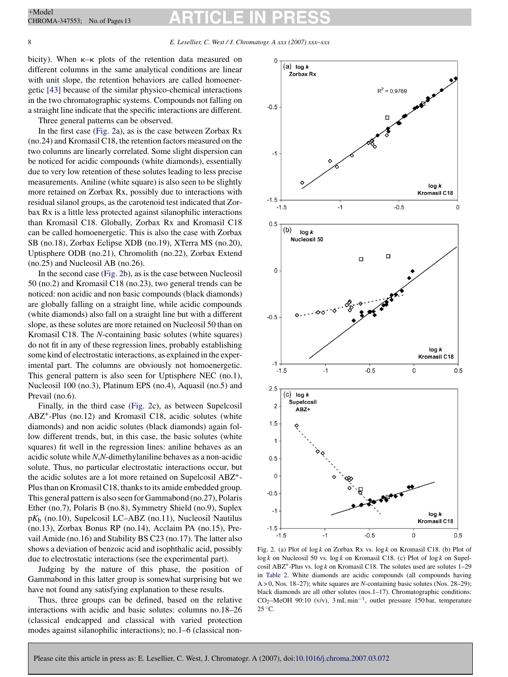<span id="page-7-0"></span>8 *E. Lesellier, C. West / J. Chromatogr. A xxx (2007) xxx–xxx*

bicity). When  $\kappa$ - $\kappa$  plots of the retention data measured on different columns in the same analytical conditions are linear with unit slope, the retention behaviors are called homoenergetic [\[43\]](#page-12-0) because of the similar physico-chemical interactions in the two chromatographic systems. Compounds not falling on a straight line indicate that the specific interactions are different.

Three general patterns can be observed.

In the first case (Fig. 2a), as is the case between Zorbax Rx (no.24) and Kromasil C18, the retention factors measured on the two columns are linearly correlated. Some slight dispersion can be noticed for acidic compounds (white diamonds), essentially due to very low retention of these solutes leading to less precise measurements. Aniline (white square) is also seen to be slightly more retained on Zorbax Rx, possibly due to interactions with residual silanol groups, as the carotenoid test indicated that Zorbax Rx is a little less protected against silanophilic interactions than Kromasil C18. Globally, Zorbax Rx and Kromasil C18 can be called homoenergetic. This is also the case with Zorbax SB (no.18), Zorbax Eclipse XDB (no.19), XTerra MS (no.20), Uptisphere ODB (no.21), Chromolith (no.22), Zorbax Extend (no.25) and Nucleosil AB (no.26).

In the second case (Fig. 2b), as is the case between Nucleosil 50 (no.2) and Kromasil C18 (no.23), two general trends can be noticed: non acidic and non basic compounds (black diamonds) are globally falling on a straight line, while acidic compounds (white diamonds) also fall on a straight line but with a different slope, as these solutes are more retained on Nucleosil 50 than on Kromasil C18. The *N*-containing basic solutes (white squares) do not fit in any of these regression lines, probably establishing some kind of electrostatic interactions, as explained in the experimental part. The columns are obviously not homoenergetic. This general pattern is also seen for Uptisphere NEC (no.1), Nucleosil 100 (no.3), Platinum EPS (no.4), Aquasil (no.5) and Prevail (no.6).

Finally, in the third case (Fig. 2c), as between Supelcosil ABZ+-Plus (no.12) and Kromasil C18, acidic solutes (white diamonds) and non acidic solutes (black diamonds) again follow different trends, but, in this case, the basic solutes (white squares) fit well in the regression lines: aniline behaves as an acidic solute while *N*,*N*-dimethylaniline behaves as a non-acidic solute. Thus, no particular electrostatic interactions occur, but the acidic solutes are a lot more retained on Supelcosil ABZ+- Plus than on Kromasil C18, thanks to its amide embedded group. This general pattern is also seen for Gammabond (no.27), Polaris Ether (no.7), Polaris B (no.8), Symmetry Shield (no.9), Suplex p*K*<sup>b</sup> (no.10), Supelcosil LC–ABZ (no.11), Nucleosil Nautilus (no.13), Zorbax Bonus RP (no.14), Acclaim PA (no.15), Prevail Amide (no.16) and Stability BS C23 (no.17). The latter also shows a deviation of benzoic acid and isophthalic acid, possibly due to electrostatic interactions (see the experimental part).

Judging by the nature of this phase, the position of Gammabond in this latter group is somewhat surprising but we have not found any satisfying explanation to these results.

Thus, three groups can be defined, based on the relative interactions with acidic and basic solutes: columns no.18–26 (classical endcapped and classical with varied protection modes against silanophilic interactions); no.1–6 (classical non-



Fig. 2. (a) Plot of log *k* on Zorbax Rx vs. log *k* on Kromasil C18. (b) Plot of log *k* on Nucleosil 50 vs. log *k* on Kromasil C18. (c) Plot of log *k* on Supelcosil ABZ+-Plus vs. log *k* on Kromasil C18. The solutes used are solutes 1–29 in [Table 2.](#page-3-0) White diamonds are acidic compounds (all compounds having A > 0, Nos. 18–27); white squares are *N*-containing basic solutes (Nos. 28–29); black diamonds are all other solutes (nos.1–17). Chromatographic conditions: CO<sub>2</sub>–MeOH 90:10 (v/v),  $3 \text{ mL min}^{-1}$ , outlet pressure 150 bar, temperature  $25^{\circ}$ C.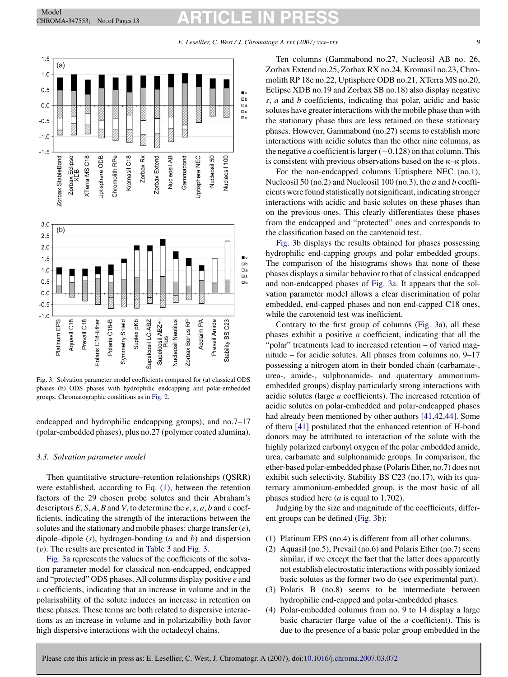*E. Lesellier, C. West / J. Chromatogr. A xxx (2007) xxx–xxx* 9



Fig. 3. Solvation parameter model coefficients compared for (a) classical ODS phases (b) ODS phases with hydrophilic endcapping and polar-embedded groups. Chromatographic conditions as in [Fig. 2.](#page-7-0)

endcapped and hydrophilic endcapping groups); and no.7–17 (polar-embedded phases), plus no.27 (polymer coated alumina).

#### *3.3. Solvation parameter model*

Then quantitative structure–retention relationships (QSRR) were established, according to Eq. [\(1\),](#page-1-0) between the retention factors of the 29 chosen probe solutes and their Abraham's descriptors  $E$ ,  $S$ ,  $A$ ,  $B$  and  $V$ , to determine the  $e$ ,  $s$ ,  $a$ ,  $b$  and  $v$  coefficients, indicating the strength of the interactions between the solutes and the stationary and mobile phases: charge transfer (*e*), dipole–dipole (*s*), hydrogen-bonding (*a* and *b*) and dispersion (v). The results are presented in [Table 3](#page-4-0) and Fig. 3.

Fig. 3a represents the values of the coefficients of the solvation parameter model for classical non-endcapped, endcapped and "protected" ODS phases. All columns display positive *e* and v coefficients, indicating that an increase in volume and in the polarisability of the solute induces an increase in retention on these phases. These terms are both related to dispersive interactions as an increase in volume and in polarizability both favor high dispersive interactions with the octadecyl chains.

Ten columns (Gammabond no.27, Nucleosil AB no. 26, Zorbax Extend no.25, Zorbax RX no.24, Kromasil no.23, Chromolith RP 18e no.22, Uptisphere ODB no.21, XTerra MS no.20, Eclipse XDB no.19 and Zorbax SB no.18) also display negative *s*, *a* and *b* coefficients, indicating that polar, acidic and basic solutes have greater interactions with the mobile phase than with the stationary phase thus are less retained on these stationary phases. However, Gammabond (no.27) seems to establish more interactions with acidic solutes than the other nine columns, as the negative *a* coefficient is larger (−0.128) on that column. This is consistent with previous observations based on the  $\kappa$ - $\kappa$  plots.

For the non-endcapped columns Uptisphere NEC (no.1), Nucleosil 50 (no.2) and Nucleosil 100 (no.3), the *a* and *b* coefficients were found statistically not significant, indicating stronger interactions with acidic and basic solutes on these phases than on the previous ones. This clearly differentiates these phases from the endcapped and "protected" ones and corresponds to the classification based on the carotenoid test.

Fig. 3b displays the results obtained for phases possessing hydrophilic end-capping groups and polar embedded groups. The comparison of the histograms shows that none of these phases displays a similar behavior to that of classical endcapped and non-endcapped phases of Fig. 3a. It appears that the solvation parameter model allows a clear discrimination of polar embedded, end-capped phases and non end-capped C18 ones, while the carotenoid test was inefficient.

Contrary to the first group of columns (Fig. 3a), all these phases exhibit a positive *a* coefficient, indicating that all the "polar" treatments lead to increased retention – of varied magnitude – for acidic solutes. All phases from columns no. 9–17 possessing a nitrogen atom in their bonded chain (carbamate-, urea-, amide-, sulphonamide- and quaternary ammoniumembedded groups) display particularly strong interactions with acidic solutes (large *a* coefficients). The increased retention of acidic solutes on polar-embedded and polar-endcapped phases had already been mentioned by other authors [\[41,42,44\]. S](#page-12-0)ome of them [\[41\]](#page-12-0) postulated that the enhanced retention of H-bond donors may be attributed to interaction of the solute with the highly polarized carbonyl oxygen of the polar embedded amide, urea, carbamate and sulphonamide groups. In comparison, the ether-based polar-embedded phase (Polaris Ether, no.7) does not exhibit such selectivity. Stability BS C23 (no.17), with its quaternary ammonium-embedded group, is the most basic of all phases studied here (*a* is equal to 1.702).

Judging by the size and magnitude of the coefficients, different groups can be defined (Fig. 3b):

- (1) Platinum EPS (no.4) is different from all other columns.
- (2) Aquasil (no.5), Prevail (no.6) and Polaris Ether (no.7) seem similar, if we except the fact that the latter does apparently not establish electrostatic interactions with possibly ionized basic solutes as the former two do (see experimental part).
- (3) Polaris B (no.8) seems to be intermediate between hydrophilic end-capped and polar-embedded phases.
- (4) Polar-embedded columns from no. 9 to 14 display a large basic character (large value of the *a* coefficient). This is due to the presence of a basic polar group embedded in the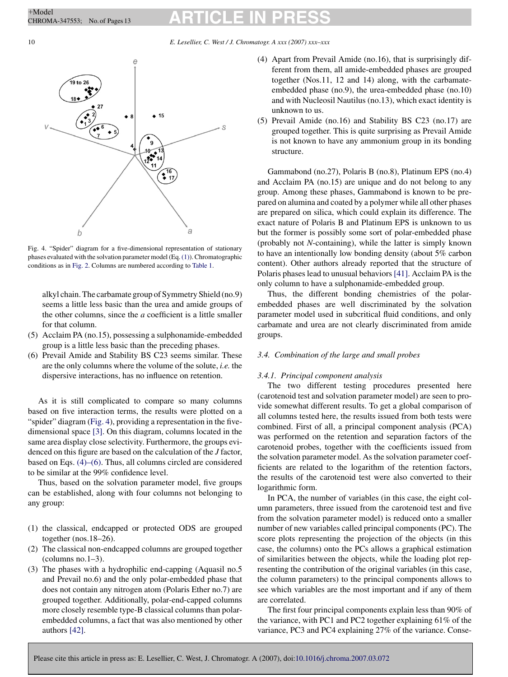<span id="page-9-0"></span>10 *E. Lesellier, C. West / J. Chromatogr. A xxx (2007) xxx–xxx*



Fig. 4. "Spider" diagram for a five-dimensional representation of stationary phases evaluated with the solvation parameter model (Eq.[\(1\)\).](#page-1-0) Chromatographic conditions as in [Fig. 2. C](#page-7-0)olumns are numbered according to [Table 1.](#page-2-0)

alkyl chain. The carbamate group of Symmetry Shield (no.9) seems a little less basic than the urea and amide groups of the other columns, since the *a* coefficient is a little smaller for that column.

- (5) Acclaim PA (no.15), possessing a sulphonamide-embedded group is a little less basic than the preceding phases.
- (6) Prevail Amide and Stability BS C23 seems similar. These are the only columns where the volume of the solute, *i.e.* the dispersive interactions, has no influence on retention.

As it is still complicated to compare so many columns based on five interaction terms, the results were plotted on a "spider" diagram (Fig. 4), providing a representation in the fivedimensional space [\[3\].](#page-11-0) On this diagram, columns located in the same area display close selectivity. Furthermore, the groups evidenced on this figure are based on the calculation of the *J* factor, based on Eqs. [\(4\)–\(6\).](#page-5-0) Thus, all columns circled are considered to be similar at the 99% confidence level.

Thus, based on the solvation parameter model, five groups can be established, along with four columns not belonging to any group:

- (1) the classical, endcapped or protected ODS are grouped together (nos.18–26).
- (2) The classical non-endcapped columns are grouped together  $(columns no.1–3).$
- (3) The phases with a hydrophilic end-capping (Aquasil no.5 and Prevail no.6) and the only polar-embedded phase that does not contain any nitrogen atom (Polaris Ether no.7) are grouped together. Additionally, polar-end-capped columns more closely resemble type-B classical columns than polarembedded columns, a fact that was also mentioned by other authors [\[42\].](#page-12-0)
- (4) Apart from Prevail Amide (no.16), that is surprisingly different from them, all amide-embedded phases are grouped together (Nos.11, 12 and 14) along, with the carbamateembedded phase (no.9), the urea-embedded phase (no.10) and with Nucleosil Nautilus (no.13), which exact identity is unknown to us.
- (5) Prevail Amide (no.16) and Stability BS C23 (no.17) are grouped together. This is quite surprising as Prevail Amide is not known to have any ammonium group in its bonding structure.

Gammabond (no.27), Polaris B (no.8), Platinum EPS (no.4) and Acclaim PA (no.15) are unique and do not belong to any group. Among these phases, Gammabond is known to be prepared on alumina and coated by a polymer while all other phases are prepared on silica, which could explain its difference. The exact nature of Polaris B and Platinum EPS is unknown to us but the former is possibly some sort of polar-embedded phase (probably not *N*-containing), while the latter is simply known to have an intentionally low bonding density (about 5% carbon content). Other authors already reported that the structure of Polaris phases lead to unusual behaviors [\[41\]. A](#page-12-0)cclaim PA is the only column to have a sulphonamide-embedded group.

Thus, the different bonding chemistries of the polarembedded phases are well discriminated by the solvation parameter model used in subcritical fluid conditions, and only carbamate and urea are not clearly discriminated from amide groups.

### *3.4. Combination of the large and small probes*

### *3.4.1. Principal component analysis*

The two different testing procedures presented here (carotenoid test and solvation parameter model) are seen to provide somewhat different results. To get a global comparison of all columns tested here, the results issued from both tests were combined. First of all, a principal component analysis (PCA) was performed on the retention and separation factors of the carotenoid probes, together with the coefficients issued from the solvation parameter model. As the solvation parameter coefficients are related to the logarithm of the retention factors, the results of the carotenoid test were also converted to their logarithmic form.

In PCA, the number of variables (in this case, the eight column parameters, three issued from the carotenoid test and five from the solvation parameter model) is reduced onto a smaller number of new variables called principal components (PC). The score plots representing the projection of the objects (in this case, the columns) onto the PCs allows a graphical estimation of similarities between the objects, while the loading plot representing the contribution of the original variables (in this case, the column parameters) to the principal components allows to see which variables are the most important and if any of them are correlated.

The first four principal components explain less than 90% of the variance, with PC1 and PC2 together explaining 61% of the variance, PC3 and PC4 explaining 27% of the variance. Conse-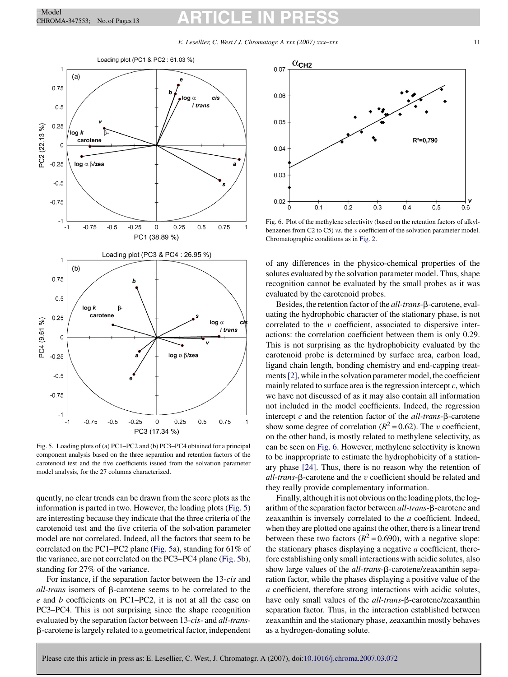*E. Lesellier, C. West / J. Chromatogr. A xxx (2007) xxx–xxx* 11



Fig. 5. Loading plots of (a) PC1–PC2 and (b) PC3–PC4 obtained for a principal component analysis based on the three separation and retention factors of the carotenoid test and the five coefficients issued from the solvation parameter model analysis, for the 27 columns characterized.

quently, no clear trends can be drawn from the score plots as the information is parted in two. However, the loading plots (Fig. 5) are interesting because they indicate that the three criteria of the carotenoid test and the five criteria of the solvation parameter model are not correlated. Indeed, all the factors that seem to be correlated on the PC1–PC2 plane (Fig. 5a), standing for 61% of the variance, are not correlated on the PC3–PC4 plane (Fig. 5b), standing for 27% of the variance.

For instance, if the separation factor between the 13-*cis* and all-trans isomers of β-carotene seems to be correlated to the *e* and *b* coefficients on PC1–PC2, it is not at all the case on PC3–PC4. This is not surprising since the shape recognition evaluated by the separation factor between 13-*cis*- and *all-trans*- --carotene is largely related to a geometrical factor, independent



Fig. 6. Plot of the methylene selectivity (based on the retention factors of alkylbenzenes from C2 to C5) *vs.* the v coefficient of the solvation parameter model. Chromatographic conditions as in [Fig. 2.](#page-7-0)

of any differences in the physico-chemical properties of the solutes evaluated by the solvation parameter model. Thus, shape recognition cannot be evaluated by the small probes as it was evaluated by the carotenoid probes.

Besides, the retention factor of the *all-trans*- $\beta$ -carotene, evaluating the hydrophobic character of the stationary phase, is not correlated to the v coefficient, associated to dispersive interactions: the correlation coefficient between them is only 0.29. This is not surprising as the hydrophobicity evaluated by the carotenoid probe is determined by surface area, carbon load, ligand chain length, bonding chemistry and end-capping treat-ments [\[2\], w](#page-11-0)hile in the solvation parameter model, the coefficient mainly related to surface area is the regression intercept  $c$ , which we have not discussed of as it may also contain all information not included in the model coefficients. Indeed, the regression intercept  $c$  and the retention factor of the  $all-trans- $\beta$ -carotene$ show some degree of correlation ( $R^2$  = 0.62). The v coefficient, on the other hand, is mostly related to methylene selectivity, as can be seen on Fig. 6. However, methylene selectivity is known to be inappropriate to estimate the hydrophobicity of a stationary phase [\[24\].](#page-12-0) Thus, there is no reason why the retention of  $all-trans$ - $\beta$ -carotene and the *v* coefficient should be related and they really provide complementary information.

Finally, although it is not obvious on the loading plots, the logarithm of the separation factor between *all-trans*- $\beta$ -carotene and zeaxanthin is inversely correlated to the *a* coefficient. Indeed, when they are plotted one against the other, there is a linear trend between these two factors  $(R^2 = 0.690)$ , with a negative slope: the stationary phases displaying a negative *a* coefficient, therefore establishing only small interactions with acidic solutes, also show large values of the *all-trans*-β-carotene/zeaxanthin separation factor, while the phases displaying a positive value of the *a* coefficient, therefore strong interactions with acidic solutes, have only small values of the *all-trans*- $\beta$ -carotene/zeaxanthin separation factor. Thus, in the interaction established between zeaxanthin and the stationary phase, zeaxanthin mostly behaves as a hydrogen-donating solute.

Please cite this article in press as: E. Lesellier, C. West, J. Chromatogr. A (2007), doi[:10.1016/j.chroma.2007.03.072](dx.doi.org/10.1016/j.chroma.2007.03.072)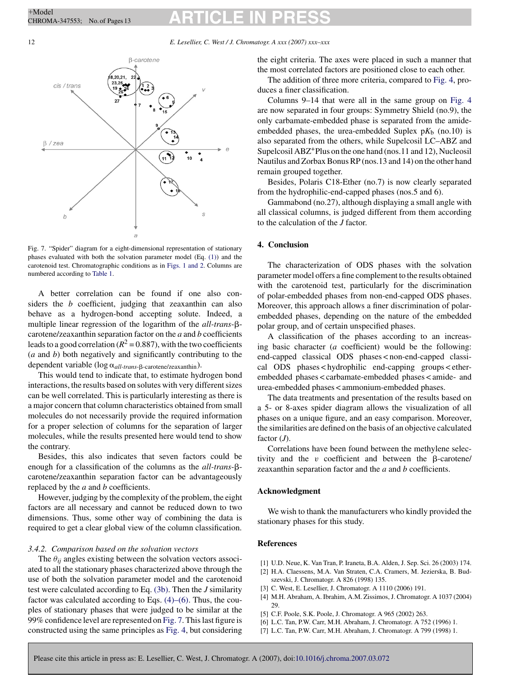<span id="page-11-0"></span>12 *E. Lesellier, C. West / J. Chromatogr. A xxx (2007) xxx–xxx*



Fig. 7. "Spider" diagram for a eight-dimensional representation of stationary phases evaluated with both the solvation parameter model (Eq. [\(1\)\)](#page-1-0) and the carotenoid test. Chromatographic conditions as in [Figs. 1 and 2.](#page-5-0) Columns are numbered according to [Table 1.](#page-2-0)

A better correlation can be found if one also considers the *b* coefficient, judging that zeaxanthin can also behave as a hydrogen-bond accepting solute. Indeed, a multiple linear regression of the logarithm of the *all-trans*- $\beta$ carotene/zeaxanthin separation factor on the *a* and *b* coefficients leads to a good correlation ( $R^2$  = 0.887), with the two coefficients (*a* and *b*) both negatively and significantly contributing to the dependent variable (log  $\alpha_{all-trans-}$ ß-carotene/zeaxanthin).

This would tend to indicate that, to estimate hydrogen bond interactions, the results based on solutes with very different sizes can be well correlated. This is particularly interesting as there is a major concern that column characteristics obtained from small molecules do not necessarily provide the required information for a proper selection of columns for the separation of larger molecules, while the results presented here would tend to show the contrary.

Besides, this also indicates that seven factors could be enough for a classification of the columns as the *all-trans*- $\beta$ carotene/zeaxanthin separation factor can be advantageously replaced by the *a* and *b* coefficients.

However, judging by the complexity of the problem, the eight factors are all necessary and cannot be reduced down to two dimensions. Thus, some other way of combining the data is required to get a clear global view of the column classification.

### *3.4.2. Comparison based on the solvation vectors*

The  $\theta_{ij}$  angles existing between the solvation vectors associ-ated to all the stationary phases characterized above through the use of both the solvation parameter model and the carotenoid test were calculated according to Eq. [\(3b\). T](#page-5-0)hen the *J* similarity factor was calculated according to Eqs. [\(4\)–\(6\).](#page-5-0) Thus, the couples of stationary phases that were judged to be similar at the 99% confidence level are represented on Fig. 7. This last figure is constructed using the same principles as [Fig. 4, b](#page-9-0)ut considering

the eight criteria. The axes were placed in such a manner that the most correlated factors are positioned close to each other.

The addition of three more criteria, compared to [Fig. 4,](#page-9-0) produces a finer classification.

Columns 9–14 that were all in the same group on [Fig. 4](#page-9-0) are now separated in four groups: Symmetry Shield (no.9), the only carbamate-embedded phase is separated from the amideembedded phases, the urea-embedded Suplex  $pK_b$  (no.10) is also separated from the others, while Supelcosil LC–ABZ and Supelcosil ABZ+Plus on the one hand (nos.11 and 12), Nucleosil Nautilus and Zorbax Bonus RP (nos.13 and 14) on the other hand remain grouped together.

Besides, Polaris C18-Ether (no.7) is now clearly separated from the hydrophilic-end-capped phases (nos.5 and 6).

Gammabond (no.27), although displaying a small angle with all classical columns, is judged different from them according to the calculation of the *J* factor.

### **4. Conclusion**

The characterization of ODS phases with the solvation parameter model offers a fine complement to the results obtained with the carotenoid test, particularly for the discrimination of polar-embedded phases from non-end-capped ODS phases. Moreover, this approach allows a finer discrimination of polarembedded phases, depending on the nature of the embedded polar group, and of certain unspecified phases.

A classification of the phases according to an increasing basic character (*a* coefficient) would be the following: end-capped classical ODS phases < non-end-capped classical ODS phases < hydrophilic end-capping groups < etherembedded phases < carbamate-embedded phases < amide- and urea-embedded phases < ammonium-embedded phases.

The data treatments and presentation of the results based on a 5- or 8-axes spider diagram allows the visualization of all phases on a unique figure, and an easy comparison. Moreover, the similarities are defined on the basis of an objective calculated factor (*J*).

Correlations have been found between the methylene selectivity and the  $v$  coefficient and between the  $\beta$ -carotene/ zeaxanthin separation factor and the *a* and *b* coefficients.

### **Acknowledgment**

We wish to thank the manufacturers who kindly provided the stationary phases for this study.

### **References**

- [1] U.D. Neue, K. Van Tran, P. Iraneta, B.A. Alden, J. Sep. Sci. 26 (2003) 174.
- [2] H.A. Claessens, M.A. Van Straten, C.A. Cramers, M. Jezierska, B. Budszevski, J. Chromatogr. A 826 (1998) 135.
- [3] C. West, E. Lesellier, J. Chromatogr. A 1110 (2006) 191.
- [4] M.H. Abraham, A. Ibrahim, A.M. Zissimos, J. Chromatogr. A 1037 (2004) 29.
- [5] C.F. Poole, S.K. Poole, J. Chromatogr. A 965 (2002) 263.
- [6] L.C. Tan, P.W. Carr, M.H. Abraham, J. Chromatogr. A 752 (1996) 1.
- [7] L.C. Tan, P.W. Carr, M.H. Abraham, J. Chromatogr. A 799 (1998) 1.